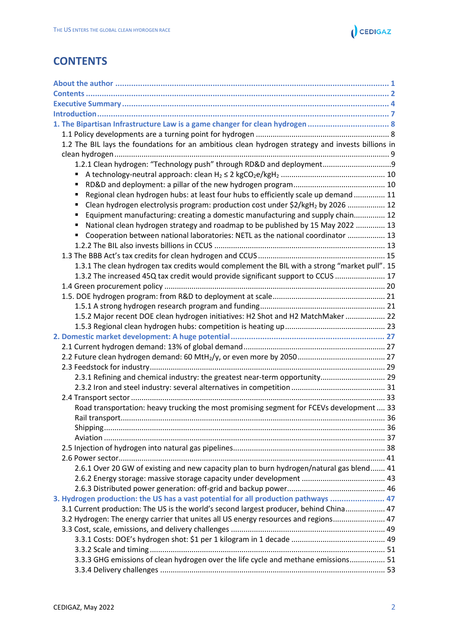

## <span id="page-0-0"></span>**CONTENTS**

| 1. The Bipartisan Infrastructure Law is a game changer for clean hydrogen  8                      |  |
|---------------------------------------------------------------------------------------------------|--|
|                                                                                                   |  |
| 1.2 The BIL lays the foundations for an ambitious clean hydrogen strategy and invests billions in |  |
|                                                                                                   |  |
| 1.2.1 Clean hydrogen: "Technology push" through RD&D and deployment                               |  |
| Ξ                                                                                                 |  |
| ٠                                                                                                 |  |
| Regional clean hydrogen hubs: at least four hubs to efficiently scale up demand  11<br>Ξ          |  |
| Clean hydrogen electrolysis program: production cost under \$2/kgH <sub>2</sub> by 2026  12<br>Ξ  |  |
| Equipment manufacturing: creating a domestic manufacturing and supply chain 12<br>Ξ               |  |
| National clean hydrogen strategy and roadmap to be published by 15 May 2022  13<br>Ξ              |  |
| Cooperation between national laboratories: NETL as the national coordinator  13                   |  |
|                                                                                                   |  |
|                                                                                                   |  |
| 1.3.1 The clean hydrogen tax credits would complement the BIL with a strong "market pull". 15     |  |
| 1.3.2 The increased 45Q tax credit would provide significant support to CCUS  17                  |  |
|                                                                                                   |  |
|                                                                                                   |  |
|                                                                                                   |  |
| 1.5.2 Major recent DOE clean hydrogen initiatives: H2 Shot and H2 MatchMaker  22                  |  |
|                                                                                                   |  |
|                                                                                                   |  |
|                                                                                                   |  |
|                                                                                                   |  |
|                                                                                                   |  |
| 2.3.1 Refining and chemical industry: the greatest near-term opportunity 29                       |  |
|                                                                                                   |  |
|                                                                                                   |  |
| Road transportation: heavy trucking the most promising segment for FCEVs development  33          |  |
|                                                                                                   |  |
|                                                                                                   |  |
|                                                                                                   |  |
|                                                                                                   |  |
| 2.6.1 Over 20 GW of existing and new capacity plan to burn hydrogen/natural gas blend 41          |  |
|                                                                                                   |  |
|                                                                                                   |  |
|                                                                                                   |  |
| 3. Hydrogen production: the US has a vast potential for all production pathways  47               |  |
| 3.1 Current production: The US is the world's second largest producer, behind China 47            |  |
| 3.2 Hydrogen: The energy carrier that unites all US energy resources and regions 47               |  |
|                                                                                                   |  |
|                                                                                                   |  |
| 3.3.3 GHG emissions of clean hydrogen over the life cycle and methane emissions 51                |  |
|                                                                                                   |  |
|                                                                                                   |  |